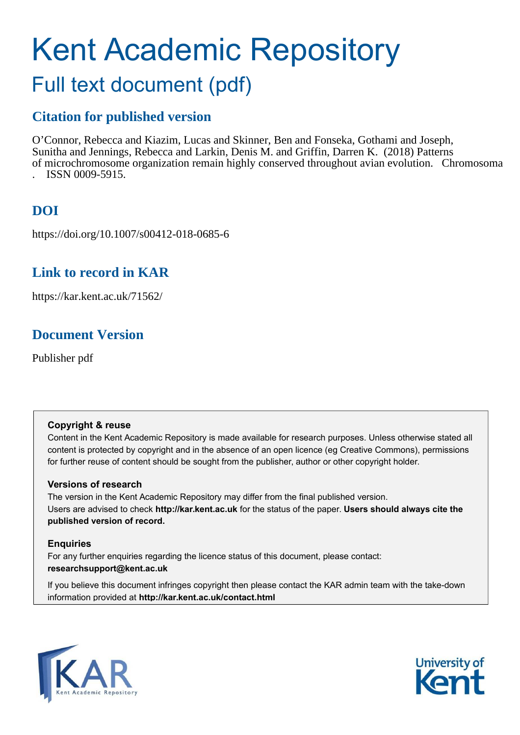# Kent Academic Repository Full text document (pdf)

# **Citation for published version**

O'Connor, Rebecca and Kiazim, Lucas and Skinner, Ben and Fonseka, Gothami and Joseph, Sunitha and Jennings, Rebecca and Larkin, Denis M. and Griffin, Darren K. (2018) Patterns of microchromosome organization remain highly conserved throughout avian evolution. Chromosoma . ISSN 0009-5915.

# **DOI**

https://doi.org/10.1007/s00412-018-0685-6

# **Link to record in KAR**

https://kar.kent.ac.uk/71562/

# **Document Version**

Publisher pdf

## **Copyright & reuse**

Content in the Kent Academic Repository is made available for research purposes. Unless otherwise stated all content is protected by copyright and in the absence of an open licence (eg Creative Commons), permissions for further reuse of content should be sought from the publisher, author or other copyright holder.

## **Versions of research**

The version in the Kent Academic Repository may differ from the final published version. Users are advised to check **http://kar.kent.ac.uk** for the status of the paper. **Users should always cite the published version of record.**

## **Enquiries**

For any further enquiries regarding the licence status of this document, please contact: **researchsupport@kent.ac.uk**

If you believe this document infringes copyright then please contact the KAR admin team with the take-down information provided at **http://kar.kent.ac.uk/contact.html**



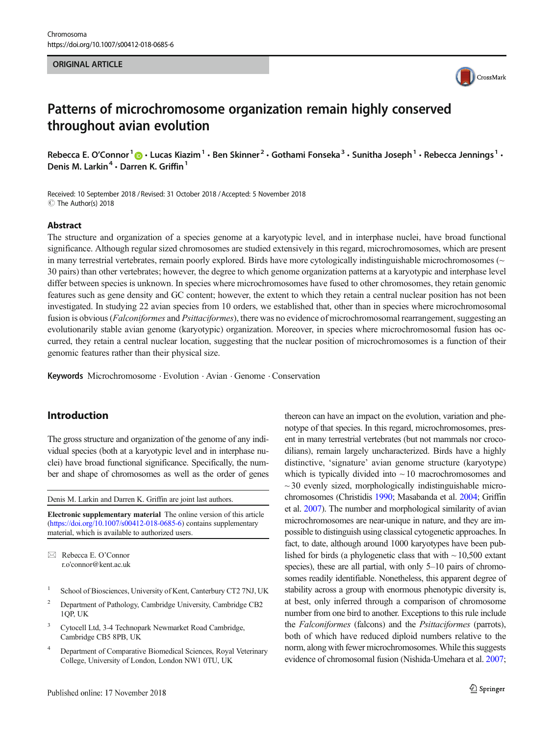ORIGINAL ARTICLE



# Patterns of microchromosome organization remain highly conserved throughout avian evolution

Rebecca E. O'Connor $1$   $\bullet$   $\cdot$  Lucas Kiazim  $^1$   $\cdot$  Ben Skinner  $^2$   $\cdot$  Gothami Fonseka  $^3$   $\cdot$  Sunitha Joseph  $^1$   $\cdot$  Rebecca Jennings  $^1$   $\cdot$ Denis M. Larkin<sup>4</sup> · Darren K. Griffin<sup>1</sup>

Received: 10 September 2018 / Revised: 31 October 2018 /Accepted: 5 November 2018 C The Author(s) 2018

#### Abstract

The structure and organization of a species genome at a karyotypic level, and in interphase nuclei, have broad functional significance. Although regular sized chromosomes are studied extensively in this regard, microchromosomes, which are present in many terrestrial vertebrates, remain poorly explored. Birds have more cytologically indistinguishable microchromosomes (~ 30 pairs) than other vertebrates; however, the degree to which genome organization patterns at a karyotypic and interphase level differ between species is unknown. In species where microchromosomes have fused to other chromosomes, they retain genomic features such as gene density and GC content; however, the extent to which they retain a central nuclear position has not been investigated. In studying 22 avian species from 10 orders, we established that, other than in species where microchromosomal fusion is obvious (Falconiformes and Psittaciformes), there was no evidence of microchromosomal rearrangement, suggesting an evolutionarily stable avian genome (karyotypic) organization. Moreover, in species where microchromosomal fusion has occurred, they retain a central nuclear location, suggesting that the nuclear position of microchromosomes is a function of their genomic features rather than their physical size.

Keywords Microchromosome . Evolution . Avian . Genome . Conservation

### Introduction

The gross structure and organization of the genome of any individual species (both at a karyotypic level and in interphase nuclei) have broad functional significance. Specifically, the number and shape of chromosomes as well as the order of genes

Denis M. Larkin and Darren K. Griffin are joint last authors.

Electronic supplementary material The online version of this article (<https://doi.org/10.1007/s00412-018-0685-6>) contains supplementary material, which is available to authorized users.

 $\boxtimes$  Rebecca E. O'Connor [r.o'connor@kent.ac.uk](mailto:r.o)

- 1 School of Biosciences, University of Kent, Canterbury CT2 7NJ, UK
- <sup>2</sup> Department of Pathology, Cambridge University, Cambridge CB2 1QP, UK
- <sup>3</sup> Cytocell Ltd, 3-4 Technopark Newmarket Road Cambridge, Cambridge CB5 8PB, UK
- <sup>4</sup> Department of Comparative Biomedical Sciences, Royal Veterinary College, University of London, London NW1 0TU, UK

thereon can have an impact on the evolution, variation and phenotype of that species. In this regard, microchromosomes, present in many terrestrial vertebrates (but not mammals nor crocodilians), remain largely uncharacterized. Birds have a highly distinctive, 'signature' avian genome structure (karyotype) which is typically divided into  $\sim 10$  macrochromosomes and  $\sim$  30 evenly sized, morphologically indistinguishable microchromosomes (Christidis [1990](#page-7-0); Masabanda et al. [2004](#page-8-0); Griffin et al. [2007\)](#page-7-0). The number and morphological similarity of avian microchromosomes are near-unique in nature, and they are impossible to distinguish using classical cytogenetic approaches. In fact, to date, although around 1000 karyotypes have been published for birds (a phylogenetic class that with  $\sim$  10,500 extant species), these are all partial, with only 5–10 pairs of chromosomes readily identifiable. Nonetheless, this apparent degree of stability across a group with enormous phenotypic diversity is, at best, only inferred through a comparison of chromosome number from one bird to another. Exceptions to this rule include the Falconiformes (falcons) and the Psittaciformes (parrots), both of which have reduced diploid numbers relative to the norm, along with fewer microchromosomes. While this suggests evidence of chromosomal fusion (Nishida-Umehara et al. [2007;](#page-8-0)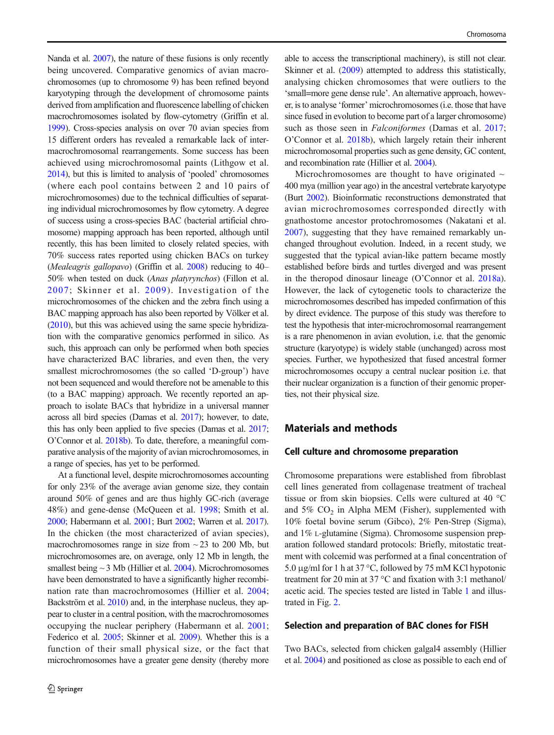Nanda et al. [2007](#page-8-0)), the nature of these fusions is only recently being uncovered. Comparative genomics of avian macrochromosomes (up to chromosome 9) has been refined beyond karyotyping through the development of chromosome paints derived from amplification and fluorescence labelling of chicken macrochromosomes isolated by flow-cytometry (Griffin et al. [1999](#page-7-0)). Cross-species analysis on over 70 avian species from 15 different orders has revealed a remarkable lack of intermacrochromosomal rearrangements. Some success has been achieved using microchromosomal paints (Lithgow et al. [2014](#page-8-0)), but this is limited to analysis of 'pooled' chromosomes (where each pool contains between 2 and 10 pairs of microchromosomes) due to the technical difficulties of separating individual microchromosomes by flow cytometry. A degree of success using a cross-species BAC (bacterial artificial chromosome) mapping approach has been reported, although until recently, this has been limited to closely related species, with 70% success rates reported using chicken BACs on turkey (Mealeagris gallopavo) (Griffin et al. [2008](#page-7-0)) reducing to 40– 50% when tested on duck (Anas platyrynchos) (Fillon et al. [2007;](#page-7-0) Skinner et al. [2009\)](#page-8-0). Investigation of the microchromosomes of the chicken and the zebra finch using a BAC mapping approach has also been reported by Völker et al. [\(2010\)](#page-8-0), but this was achieved using the same specie hybridization with the comparative genomics performed in silico. As such, this approach can only be performed when both species have characterized BAC libraries, and even then, the very smallest microchromosomes (the so called 'D-group') have not been sequenced and would therefore not be amenable to this (to a BAC mapping) approach. We recently reported an approach to isolate BACs that hybridize in a universal manner across all bird species (Damas et al. [2017\)](#page-7-0); however, to date, this has only been applied to five species (Damas et al. [2017](#page-7-0); O'Connor et al. [2018b](#page-8-0)). To date, therefore, a meaningful comparative analysis of the majority of avian microchromosomes, in a range of species, has yet to be performed.

At a functional level, despite microchromosomes accounting for only 23% of the average avian genome size, they contain around 50% of genes and are thus highly GC-rich (average 48%) and gene-dense (McQueen et al. [1998](#page-8-0); Smith et al. [2000](#page-8-0); Habermann et al. [2001](#page-7-0); Burt [2002](#page-7-0); Warren et al. [2017\)](#page-8-0). In the chicken (the most characterized of avian species), macrochromosomes range in size from  $\sim$  23 to 200 Mb, but microchromosomes are, on average, only 12 Mb in length, the smallest being  $\sim$  3 Mb (Hillier et al. [2004](#page-7-0)). Microchromosomes have been demonstrated to have a significantly higher recombination rate than macrochromosomes (Hillier et al. [2004](#page-7-0); Backström et al. [2010\)](#page-7-0) and, in the interphase nucleus, they appear to cluster in a central position, with the macrochromosomes occupying the nuclear periphery (Habermann et al. [2001](#page-7-0); Federico et al. [2005](#page-7-0); Skinner et al. [2009](#page-8-0)). Whether this is a function of their small physical size, or the fact that microchromosomes have a greater gene density (thereby more able to access the transcriptional machinery), is still not clear. Skinner et al. [\(2009](#page-8-0)) attempted to address this statistically, analysing chicken chromosomes that were outliers to the 'small=more gene dense rule'. An alternative approach, however, is to analyse 'former' microchromosomes (i.e. those that have since fused in evolution to become part of a larger chromosome) such as those seen in Falconiformes (Damas et al. [2017;](#page-7-0) O'Connor et al. [2018b\)](#page-8-0), which largely retain their inherent microchromosomal properties such as gene density, GC content, and recombination rate (Hillier et al. [2004\)](#page-7-0).

Microchromosomes are thought to have originated  $\sim$ 400 mya (million year ago) in the ancestral vertebrate karyotype (Burt [2002\)](#page-7-0). Bioinformatic reconstructions demonstrated that avian microchromosomes corresponded directly with gnathostome ancestor protochromosomes (Nakatani et al. [2007\)](#page-8-0), suggesting that they have remained remarkably unchanged throughout evolution. Indeed, in a recent study, we suggested that the typical avian-like pattern became mostly established before birds and turtles diverged and was present in the theropod dinosaur lineage (O'Connor et al. [2018a\)](#page-8-0). However, the lack of cytogenetic tools to characterize the microchromosomes described has impeded confirmation of this by direct evidence. The purpose of this study was therefore to test the hypothesis that inter-microchromosomal rearrangement is a rare phenomenon in avian evolution, i.e. that the genomic structure (karyotype) is widely stable (unchanged) across most species. Further, we hypothesized that fused ancestral former microchromosomes occupy a central nuclear position i.e. that their nuclear organization is a function of their genomic properties, not their physical size.

#### Materials and methods

#### Cell culture and chromosome preparation

Chromosome preparations were established from fibroblast cell lines generated from collagenase treatment of tracheal tissue or from skin biopsies. Cells were cultured at 40 °C and  $5\%$  CO<sub>2</sub> in Alpha MEM (Fisher), supplemented with 10% foetal bovine serum (Gibco), 2% Pen-Strep (Sigma), and 1% L-glutamine (Sigma). Chromosome suspension preparation followed standard protocols: Briefly, mitostatic treatment with colcemid was performed at a final concentration of 5.0 μg/ml for 1 h at 37 °C, followed by 75 mM KCl hypotonic treatment for 20 min at 37 °C and fixation with 3:1 methanol/ acetic acid. The species tested are listed in Table 1 and illustrated in Fig. [2.](#page-4-0)

#### Selection and preparation of BAC clones for FISH

Two BACs, selected from chicken galgal4 assembly (Hillier et al. [2004\)](#page-7-0) and positioned as close as possible to each end of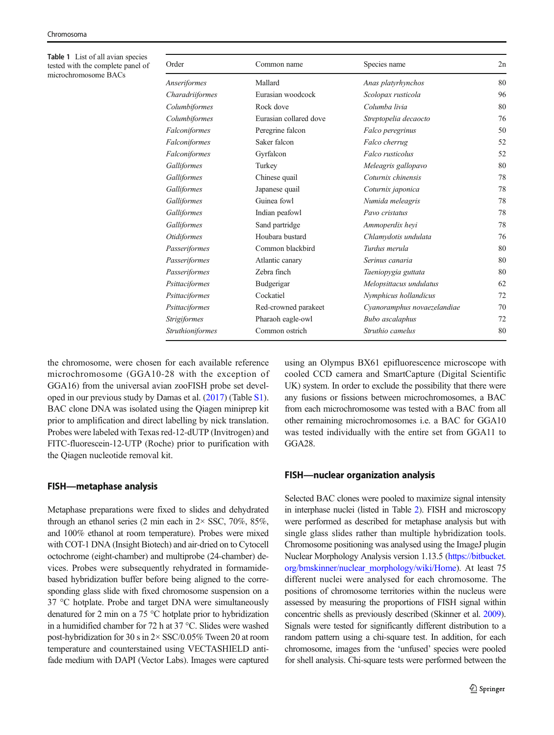<span id="page-3-0"></span>Table 1 List of all avian species tested with the complete panel of microchromosome BACs

| Order               | Common name            | Species name                | 2n |
|---------------------|------------------------|-----------------------------|----|
| Anseriformes        | Mallard                | Anas platyrhynchos          | 80 |
| Charadriiformes     | Eurasian woodcock      | Scolopax rusticola          | 96 |
| Columbiformes       | Rock dove              | Columba livia               | 80 |
| Columbiformes       | Eurasian collared dove | Streptopelia decaocto       | 76 |
| Falconiformes       | Peregrine falcon       | Falco peregrinus            | 50 |
| Falconiformes       | Saker falcon           | Falco cherrug               | 52 |
| Falconiformes       | Gyrfalcon              | Falco rusticolus            | 52 |
| Galliformes         | Turkey                 | Meleagris gallopavo         | 80 |
| Galliformes         | Chinese quail          | Coturnix chinensis          | 78 |
| Galliformes         | Japanese quail         | Coturnix japonica           | 78 |
| Galliformes         | Guinea fowl            | Numida meleagris            | 78 |
| Galliformes         | Indian peafowl         | Pavo cristatus              | 78 |
| Galliformes         | Sand partridge         | Ammoperdix heyi             | 78 |
| <b>Otidiformes</b>  | Houbara bustard        | Chlamydotis undulata        | 76 |
| Passeriformes       | Common blackbird       | Turdus merula               | 80 |
| Passeriformes       | Atlantic canary        | Serinus canaria             | 80 |
| Passeriformes       | Zebra finch            | Taeniopygia guttata         | 80 |
| Psittaciformes      | Budgerigar             | Melopsittacus undulatus     | 62 |
| Psittaciformes      | Cockatiel              | Nymphicus hollandicus       | 72 |
| Psittaciformes      | Red-crowned parakeet   | Cyanoramphus novaezelandiae | 70 |
| <b>Strigiformes</b> | Pharaoh eagle-owl      | Bubo ascalaphus             | 72 |
| Struthioniformes    | Common ostrich         | Struthio camelus            | 80 |

the chromosome, were chosen for each available reference microchromosome (GGA10-28 with the exception of GGA16) from the universal avian zooFISH probe set developed in our previous study by Damas et al. [\(2017](#page-7-0)) (Table S1). BAC clone DNA was isolated using the Qiagen miniprep kit prior to amplification and direct labelling by nick translation. Probes were labeled with Texas red-12-dUTP (Invitrogen) and FITC-fluorescein-12-UTP (Roche) prior to purification with the Qiagen nucleotide removal kit.

#### FISH—metaphase analysis

Metaphase preparations were fixed to slides and dehydrated through an ethanol series (2 min each in  $2 \times$  SSC, 70%, 85%, and 100% ethanol at room temperature). Probes were mixed with COT-1 DNA (Insight Biotech) and air-dried on to Cytocell octochrome (eight-chamber) and multiprobe (24-chamber) devices. Probes were subsequently rehydrated in formamidebased hybridization buffer before being aligned to the corresponding glass slide with fixed chromosome suspension on a 37 °C hotplate. Probe and target DNA were simultaneously denatured for 2 min on a 75 °C hotplate prior to hybridization in a humidified chamber for 72 h at 37 °C. Slides were washed post-hybridization for 30 s in 2× SSC/0.05% Tween 20 at room temperature and counterstained using VECTASHIELD antifade medium with DAPI (Vector Labs). Images were captured using an Olympus BX61 epifluorescence microscope with cooled CCD camera and SmartCapture (Digital Scientific UK) system. In order to exclude the possibility that there were any fusions or fissions between microchromosomes, a BAC from each microchromosome was tested with a BAC from all other remaining microchromosomes i.e. a BAC for GGA10 was tested individually with the entire set from GGA11 to GGA28.

#### FISH—nuclear organization analysis

Selected BAC clones were pooled to maximize signal intensity in interphase nuclei (listed in Table 2). FISH and microscopy were performed as described for metaphase analysis but with single glass slides rather than multiple hybridization tools. Chromosome positioning was analysed using the ImageJ plugin Nuclear Morphology Analysis version 1.13.5 [\(https://bitbucket.](https://bitbucket.org/bmskinner/nuclear_morphology/wiki/Home) [org/bmskinner/nuclear\\_morphology/wiki/Home\)](https://bitbucket.org/bmskinner/nuclear_morphology/wiki/Home). At least 75 different nuclei were analysed for each chromosome. The positions of chromosome territories within the nucleus were assessed by measuring the proportions of FISH signal within concentric shells as previously described (Skinner et al. [2009\)](#page-8-0). Signals were tested for significantly different distribution to a random pattern using a chi-square test. In addition, for each chromosome, images from the 'unfused' species were pooled for shell analysis. Chi-square tests were performed between the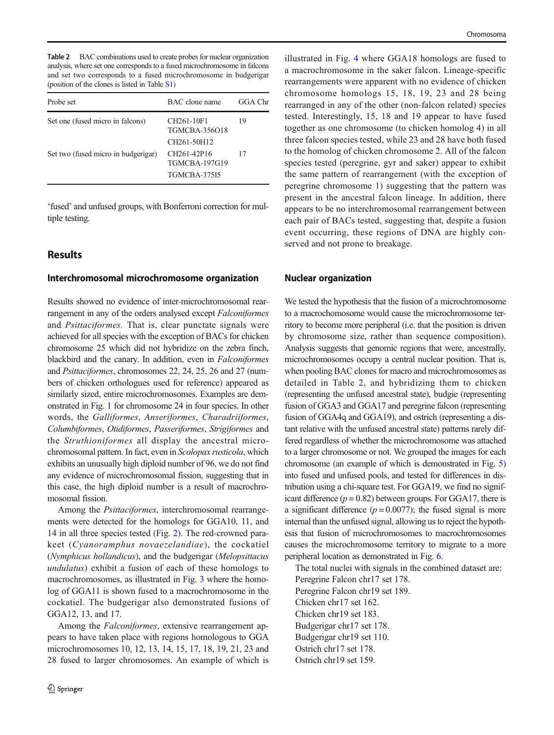<span id="page-4-0"></span>Table 2 BAC combinations used to create probes for nuclear organization analysis, where set one corresponds to a fused microchromosome in falcons and set two corresponds to a fused microchromosome in budgerigar (position of the clones is listed in Table S1)

| Probe set                           | BAC clone name                               | GGA Chr |
|-------------------------------------|----------------------------------------------|---------|
| Set one (fused micro in falcons)    | CH261-10F1<br>TGMCBA-356O18                  | 19      |
|                                     | CH <sub>261-50</sub> H <sub>12</sub>         |         |
| Set two (fused micro in budgerigar) | CH261-42P16<br>TGMCBA-197G19<br>TGMCBA-37515 | 17      |

'fused' and unfused groups, with Bonferroni correction for multiple testing.

### Results

#### Interchromosomal microchromosome organization

Results showed no evidence of inter-microchromosomal rearrangement in any of the orders analysed except Falconiformes and Psittaciformes. That is, clear punctate signals were achieved for all species with the exception of BACs for chicken chromosome 25 which did not hybridize on the zebra finch, blackbird and the canary. In addition, even in Falconiformes and Psittaciformes, chromosomes 22, 24, 25, 26 and 27 (numbers of chicken orthologues used for reference) appeared as similarly sized, entire microchromosomes. Examples are demonstrated in Fig. 1 for chromosome 24 in four species. In other words, the Galliformes, Anseriformes, Charadriiformes, Columbiformes, Otidiformes, Passeriformes, Strigiformes and the Struthioniformes all display the ancestral microchromosomal pattern. In fact, even in Scolopax rusticola, which exhibits an unusually high diploid number of 96, we do not find any evidence of microchromosomal fission, suggesting that in this case, the high diploid number is a result of macrochromosomal fission.

Among the *Psittaciformes*, interchromosomal rearrangements were detected for the homologs for GGA10, 11, and 14 in all three species tested (Fig. 2). The red-crowned parakeet (Cyanoramphus novaezelandiae), the cockatiel (Nymphicus hollandicus), and the budgerigar (Melopsittacus undulatus) exhibit a fusion of each of these homologs to macrochromosomes, as illustrated in Fig. [3](#page-5-0) where the homolog of GGA11 is shown fused to a macrochromosome in the cockatiel. The budgerigar also demonstrated fusions of GGA12, 13, and 17.

Among the *Falconiformes*, extensive rearrangement appears to have taken place with regions homologous to GGA microchromosomes 10, 12, 13, 14, 15, 17, 18, 19, 21, 23 and 28 fused to larger chromosomes. An example of which is illustrated in Fig. [4](#page-5-0) where GGA18 homologs are fused to a macrochromosome in the saker falcon. Lineage-specific rearrangements were apparent with no evidence of chicken chromosome homologs 15, 18, 19, 23 and 28 being rearranged in any of the other (non-falcon related) species tested. Interestingly, 15, 18 and 19 appear to have fused together as one chromosome (to chicken homolog 4) in all three falcon species tested, while 23 and 28 have both fused to the homolog of chicken chromosome 2. All of the falcon species tested (peregrine, gyr and saker) appear to exhibit the same pattern of rearrangement (with the exception of peregrine chromosome 1) suggesting that the pattern was present in the ancestral falcon lineage. In addition, there appears to be no interchromosomal rearrangement between each pair of BACs tested, suggesting that, despite a fusion event occurring, these regions of DNA are highly conserved and not prone to breakage.

#### Nuclear organization

We tested the hypothesis that the fusion of a microchromosome to a macrochomosome would cause the microchromosome territory to become more peripheral (i.e. that the position is driven by chromosome size, rather than sequence composition). Analysis suggests that genomic regions that were, ancestrally, microchromosomes occupy a central nuclear position. That is, when pooling BAC clones for macro and microchromosomes as detailed in Table [2](#page-3-0), and hybridizing them to chicken (representing the unfused ancestral state), budgie (representing fusion of GGA3 and GGA17 and peregrine falcon (representing fusion of GGA4q and GGA19), and ostrich (representing a distant relative with the unfused ancestral state) patterns rarely differed regardless of whether the microchromosome was attached to a larger chromosome or not. We grouped the images for each chromosome (an example of which is demonstrated in Fig. [5](#page-5-0)) into fused and unfused pools, and tested for differences in distribution using a chi-square test. For GGA19, we find no significant difference  $(p = 0.82)$  between groups. For GGA17, there is a significant difference  $(p = 0.0077)$ ; the fused signal is more internal than the unfused signal, allowing us to reject the hypothesis that fusion of microchromosomes to macrochromosomes causes the microchromosome territory to migrate to a more peripheral location as demonstrated in Fig. [6](#page-5-0).

The total nuclei with signals in the combined dataset are: Peregrine Falcon chr17 set 178.

Peregrine Falcon chr19 set 189.

Chicken chr17 set 162.

Chicken chr19 set 183.

Budgerigar chr17 set 178.

Budgerigar chr19 set 110.

- Ostrich chr17 set 178.
- Ostrich chr19 set 159.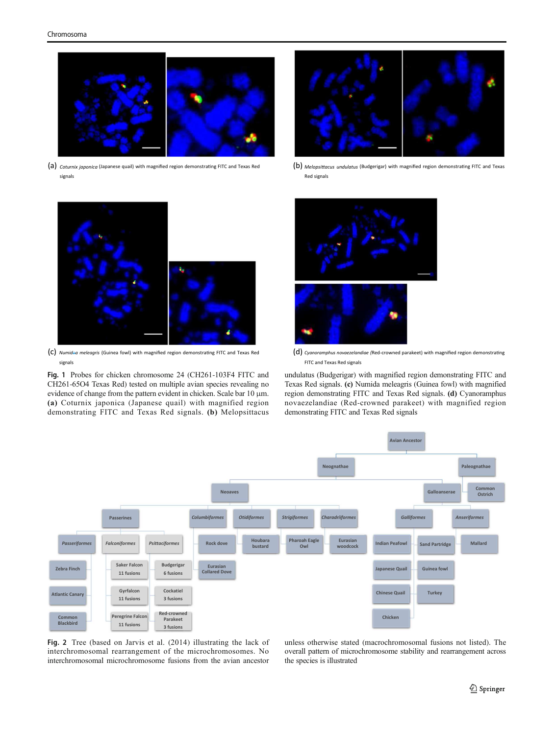<span id="page-5-0"></span>

(a) Coturnix japonica (Japanese quail) with magnified region demonstrating FITC and Texas Red signals



(b) Melopsittacus undulatus (Budgerigar) with magnified region demonstrating FITC and Texas Red signals



(C) Numidea meleagris (Guinea fowl) with magnified region demonstrating FITC and Texas Red signals

Fig. 1 Probes for chicken chromosome 24 (CH261-103F4 FITC and CH261-65O4 Texas Red) tested on multiple avian species revealing no evidence of change from the pattern evident in chicken. Scale bar 10 μm. (a) Coturnix japonica (Japanese quail) with magnified region demonstrating FITC and Texas Red signals. (b) Melopsittacus



(d) Cyanoramphus novaezelandiae (Red-crowned parakeet) with magnified region demonstrating FITC and Texas Red signals

undulatus (Budgerigar) with magnified region demonstrating FITC and Texas Red signals. (c) Numida meleagris (Guinea fowl) with magnified region demonstrating FITC and Texas Red signals. (d) Cyanoramphus novaezelandiae (Red-crowned parakeet) with magnified region demonstrating FITC and Texas Red signals



Fig. 2 Tree (based on Jarvis et al. (2014) illustrating the lack of interchromosomal rearrangement of the microchromosomes. No interchromosomal microchromosome fusions from the avian ancestor

unless otherwise stated (macrochromosomal fusions not listed). The overall pattern of microchromosome stability and rearrangement across the species is illustrated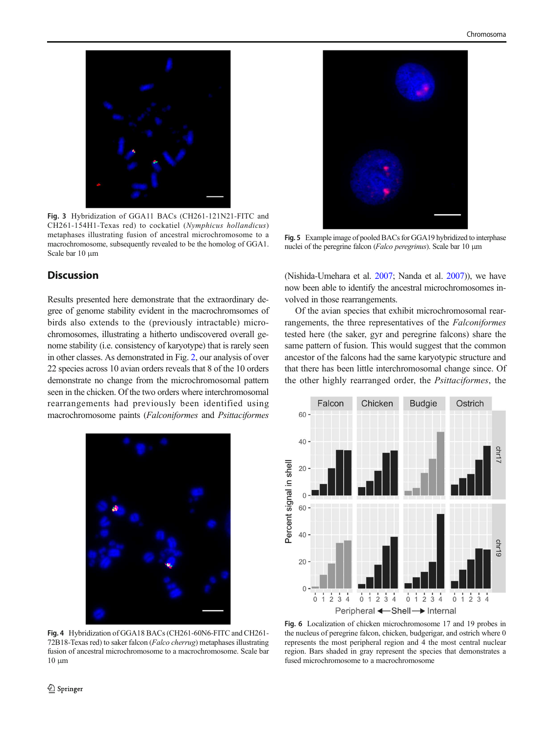

Fig. 3 Hybridization of GGA11 BACs (CH261-121N21-FITC and CH261-154H1-Texas red) to cockatiel (Nymphicus hollandicus) metaphases illustrating fusion of ancestral microchromosome to a macrochromosome, subsequently revealed to be the homolog of GGA1. Scale bar 10 μm

#### **Discussion**

Results presented here demonstrate that the extraordinary degree of genome stability evident in the macrochromsomes of birds also extends to the (previously intractable) microchromosomes, illustrating a hitherto undiscovered overall genome stability (i.e. consistency of karyotype) that is rarely seen in other classes. As demonstrated in Fig. [2](#page-4-0), our analysis of over 22 species across 10 avian orders reveals that 8 of the 10 orders demonstrate no change from the microchromosomal pattern seen in the chicken. Of the two orders where interchromosomal rearrangements had previously been identified using macrochromosome paints (Falconiformes and Psittaciformes



Fig. 4 Hybridization of GGA18 BACs (CH261-60N6-FITC and CH261- 72B18-Texas red) to saker falcon (Falco cherrug) metaphases illustrating fusion of ancestral microchromosome to a macrochromosome. Scale bar 10 μm



Fig. 5 Example image of pooled BACs for GGA19 hybridized to interphase nuclei of the peregrine falcon (Falco peregrinus). Scale bar 10 μm

(Nishida-Umehara et al. [2007](#page-8-0); Nanda et al. [2007](#page-8-0))), we have now been able to identify the ancestral microchromosomes involved in those rearrangements.

Of the avian species that exhibit microchromosomal rearrangements, the three representatives of the Falconiformes tested here (the saker, gyr and peregrine falcons) share the same pattern of fusion. This would suggest that the common ancestor of the falcons had the same karyotypic structure and that there has been little interchromosomal change since. Of the other highly rearranged order, the Psittaciformes, the



Fig. 6 Localization of chicken microchromosome 17 and 19 probes in the nucleus of peregrine falcon, chicken, budgerigar, and ostrich where 0 represents the most peripheral region and 4 the most central nuclear region. Bars shaded in gray represent the species that demonstrates a fused microchromosome to a macrochromosome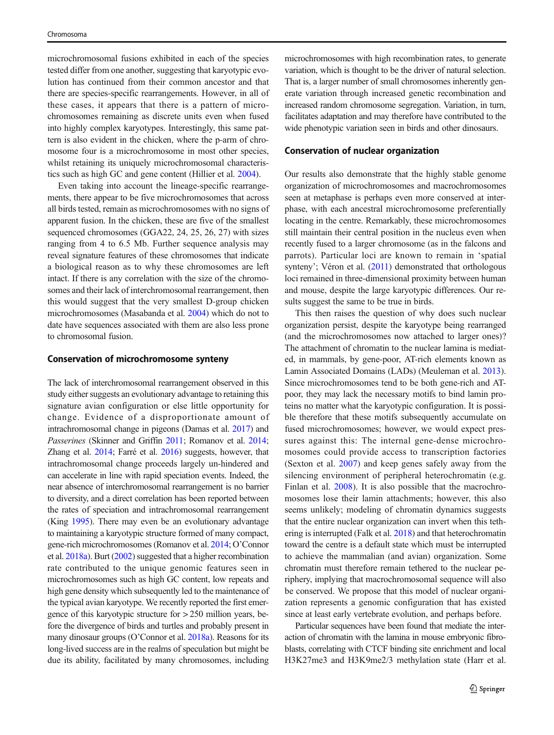<span id="page-7-0"></span>microchromosomal fusions exhibited in each of the species tested differ from one another, suggesting that karyotypic evolution has continued from their common ancestor and that there are species-specific rearrangements. However, in all of these cases, it appears that there is a pattern of microchromosomes remaining as discrete units even when fused into highly complex karyotypes. Interestingly, this same pattern is also evident in the chicken, where the p-arm of chromosome four is a microchromosome in most other species, whilst retaining its uniquely microchromosomal characteristics such as high GC and gene content (Hillier et al. 2004).

Even taking into account the lineage-specific rearrangements, there appear to be five microchromosomes that across all birds tested, remain as microchromosomes with no signs of apparent fusion. In the chicken, these are five of the smallest sequenced chromosomes (GGA22, 24, 25, 26, 27) with sizes ranging from 4 to 6.5 Mb. Further sequence analysis may reveal signature features of these chromosomes that indicate a biological reason as to why these chromosomes are left intact. If there is any correlation with the size of the chromosomes and their lack of interchromosomal rearrangement, then this would suggest that the very smallest D-group chicken microchromosomes (Masabanda et al. [2004](#page-8-0)) which do not to date have sequences associated with them are also less prone to chromosomal fusion.

#### Conservation of microchromosome synteny

The lack of interchromosomal rearrangement observed in this study either suggests an evolutionary advantage to retaining this signature avian configuration or else little opportunity for change. Evidence of a disproportionate amount of intrachromosomal change in pigeons (Damas et al. 2017) and Passerines (Skinner and Griffin [2011](#page-8-0); Romanov et al. [2014](#page-8-0); Zhang et al. [2014;](#page-8-0) Farré et al. 2016) suggests, however, that intrachromosomal change proceeds largely un-hindered and can accelerate in line with rapid speciation events. Indeed, the near absence of interchromosomal rearrangement is no barrier to diversity, and a direct correlation has been reported between the rates of speciation and intrachromosomal rearrangement (King 1995). There may even be an evolutionary advantage to maintaining a karyotypic structure formed of many compact, gene-rich microchromosomes (Romanov et al. [2014;](#page-8-0) O'Connor et al. [2018a\)](#page-8-0). Burt (2002) suggested that a higher recombination rate contributed to the unique genomic features seen in microchromosomes such as high GC content, low repeats and high gene density which subsequently led to the maintenance of the typical avian karyotype. We recently reported the first emergence of this karyotypic structure for > 250 million years, before the divergence of birds and turtles and probably present in many dinosaur groups (O'Connor et al. [2018a](#page-8-0)). Reasons for its long-lived success are in the realms of speculation but might be due its ability, facilitated by many chromosomes, including

microchromosomes with high recombination rates, to generate variation, which is thought to be the driver of natural selection. That is, a larger number of small chromosomes inherently generate variation through increased genetic recombination and increased random chromosome segregation. Variation, in turn, facilitates adaptation and may therefore have contributed to the wide phenotypic variation seen in birds and other dinosaurs.

#### Conservation of nuclear organization

Our results also demonstrate that the highly stable genome organization of microchromosomes and macrochromosomes seen at metaphase is perhaps even more conserved at interphase, with each ancestral microchromosome preferentially locating in the centre. Remarkably, these microchromosomes still maintain their central position in the nucleus even when recently fused to a larger chromosome (as in the falcons and parrots). Particular loci are known to remain in 'spatial synteny'; Véron et al. [\(2011](#page-8-0)) demonstrated that orthologous loci remained in three-dimensional proximity between human and mouse, despite the large karyotypic differences. Our results suggest the same to be true in birds.

This then raises the question of why does such nuclear organization persist, despite the karyotype being rearranged (and the microchromosomes now attached to larger ones)? The attachment of chromatin to the nuclear lamina is mediated, in mammals, by gene-poor, AT-rich elements known as Lamin Associated Domains (LADs) (Meuleman et al. [2013\)](#page-8-0). Since microchromosomes tend to be both gene-rich and ATpoor, they may lack the necessary motifs to bind lamin proteins no matter what the karyotypic configuration. It is possible therefore that these motifs subsequently accumulate on fused microchromosomes; however, we would expect pressures against this: The internal gene-dense microchromosomes could provide access to transcription factories (Sexton et al. [2007](#page-8-0)) and keep genes safely away from the silencing environment of peripheral heterochromatin (e.g. Finlan et al. 2008). It is also possible that the macrochromosomes lose their lamin attachments; however, this also seems unlikely; modeling of chromatin dynamics suggests that the entire nuclear organization can invert when this tethering is interrupted (Falk et al. 2018) and that heterochromatin toward the centre is a default state which must be interrupted to achieve the mammalian (and avian) organization. Some chromatin must therefore remain tethered to the nuclear periphery, implying that macrochromosomal sequence will also be conserved. We propose that this model of nuclear organization represents a genomic configuration that has existed since at least early vertebrate evolution, and perhaps before.

Particular sequences have been found that mediate the interaction of chromatin with the lamina in mouse embryonic fibroblasts, correlating with CTCF binding site enrichment and local H3K27me3 and H3K9me2/3 methylation state (Harr et al.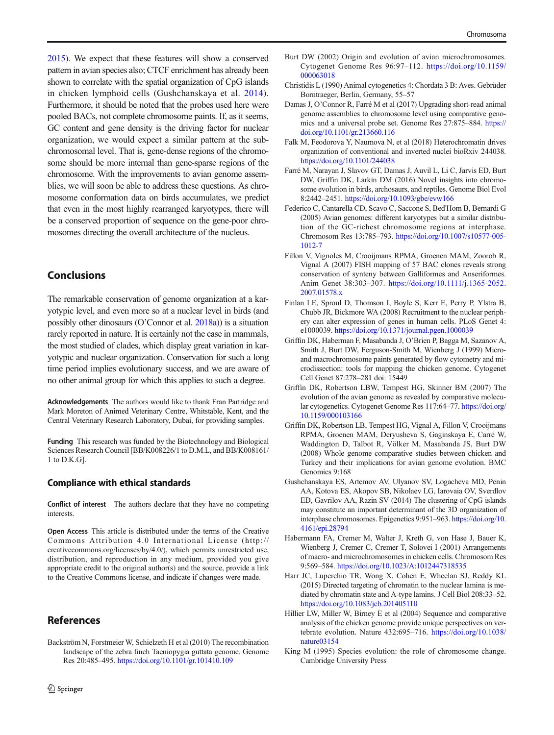<span id="page-8-0"></span>[2015](#page-7-0)). We expect that these features will show a conserved pattern in avian species also; CTCF enrichment has already been shown to correlate with the spatial organization of CpG islands in chicken lymphoid cells (Gushchanskaya et al. [2014](#page-7-0)). Furthermore, it should be noted that the probes used here were pooled BACs, not complete chromosome paints. If, as it seems, GC content and gene density is the driving factor for nuclear organization, we would expect a similar pattern at the subchromosomal level. That is, gene-dense regions of the chromosome should be more internal than gene-sparse regions of the chromosome. With the improvements to avian genome assemblies, we will soon be able to address these questions. As chromosome conformation data on birds accumulates, we predict that even in the most highly rearranged karyotypes, there will be a conserved proportion of sequence on the gene-poor chromosomes directing the overall architecture of the nucleus.

### **Conclusions**

The remarkable conservation of genome organization at a karyotypic level, and even more so at a nuclear level in birds (and possibly other dinosaurs (O'Connor et al. 2018a)) is a situation rarely reported in nature. It is certainly not the case in mammals, the most studied of clades, which display great variation in karyotypic and nuclear organization. Conservation for such a long time period implies evolutionary success, and we are aware of no other animal group for which this applies to such a degree.

Acknowledgements The authors would like to thank Fran Partridge and Mark Moreton of Animed Veterinary Centre, Whitstable, Kent, and the Central Veterinary Research Laboratory, Dubai, for providing samples.

Funding This research was funded by the Biotechnology and Biological Sciences Research Council [BB/K008226/1 to D.M.L, and BB/K008161/ 1 to D.K.G].

#### Compliance with ethical standards

Conflict of interest The authors declare that they have no competing **interests** 

Open Access This article is distributed under the terms of the Creative Commons Attribution 4.0 International License (http:// creativecommons.org/licenses/by/4.0/), which permits unrestricted use, distribution, and reproduction in any medium, provided you give appropriate credit to the original author(s) and the source, provide a link to the Creative Commons license, and indicate if changes were made.

#### References

Backström N, Forstmeier W, Schielzeth H et al (2010) The recombination landscape of the zebra finch Taeniopygia guttata genome. Genome Res 20:485–495. <https://doi.org/10.1101/gr.101410.109>

- Burt DW (2002) Origin and evolution of avian microchromosomes. Cytogenet Genome Res 96:97–112. [https://doi.org/10.1159/](https://doi.org/10.1159/000063018) [000063018](https://doi.org/10.1159/000063018)
- Christidis L (1990) Animal cytogenetics 4: Chordata 3 B: Aves. Gebrüder Borntraeger, Berlin, Germany, 55–57
- Damas J, O'Connor R, Farré M et al (2017) Upgrading short-read animal genome assemblies to chromosome level using comparative genomics and a universal probe set. Genome Res 27:875–884. [https://](https://doi.org/10.1101/gr.213660.116) [doi.org/10.1101/gr.213660.116](https://doi.org/10.1101/gr.213660.116)
- Falk M, Feodorova Y, Naumova N, et al (2018) Heterochromatin drives organization of conventional and inverted nuclei bioRxiv 244038. <https://doi.org/10.1101/244038>
- Farré M, Narayan J, Slavov GT, Damas J, Auvil L, Li C, Jarvis ED, Burt DW, Griffin DK, Larkin DM (2016) Novel insights into chromosome evolution in birds, archosaurs, and reptiles. Genome Biol Evol 8:2442–2451. <https://doi.org/10.1093/gbe/evw166>
- Federico C, Cantarella CD, Scavo C, Saccone S, Bed'Hom B, Bernardi G (2005) Avian genomes: different karyotypes but a similar distribution of the GC-richest chromosome regions at interphase. Chromosom Res 13:785–793. [https://doi.org/10.1007/s10577-005-](https://doi.org/10.1007/s10577-005-1012-7) [1012-7](https://doi.org/10.1007/s10577-005-1012-7)
- Fillon V, Vignoles M, Crooijmans RPMA, Groenen MAM, Zoorob R, Vignal A (2007) FISH mapping of 57 BAC clones reveals strong conservation of synteny between Galliformes and Anseriformes. Anim Genet 38:303–307. [https://doi.org/10.1111/j.1365-2052.](https://doi.org/10.1111/j.1365-2052.2007.01578.x) [2007.01578.x](https://doi.org/10.1111/j.1365-2052.2007.01578.x)
- Finlan LE, Sproul D, Thomson I, Boyle S, Kerr E, Perry P, Ylstra B, Chubb JR, Bickmore WA (2008) Recruitment to the nuclear periphery can alter expression of genes in human cells. PLoS Genet 4: e1000039. <https://doi.org/10.1371/journal.pgen.1000039>
- Griffin DK, Haberman F, Masabanda J, O'Brien P, Bagga M, Sazanov A, Smith J, Burt DW, Ferguson-Smith M, Wienberg J (1999) Microand macrochromosome paints generated by flow cytometry and microdissection: tools for mapping the chicken genome. Cytogenet Cell Genet 87:278–281 doi: 15449
- Griffin DK, Robertson LBW, Tempest HG, Skinner BM (2007) The evolution of the avian genome as revealed by comparative molecular cytogenetics. Cytogenet Genome Res 117:64–77. [https://doi.org/](https://doi.org/10.1159/000103166) [10.1159/000103166](https://doi.org/10.1159/000103166)
- Griffin DK, Robertson LB, Tempest HG, Vignal A, Fillon V, Crooijmans RPMA, Groenen MAM, Deryusheva S, Gaginskaya E, Carré W, Waddington D, Talbot R, Völker M, Masabanda JS, Burt DW (2008) Whole genome comparative studies between chicken and Turkey and their implications for avian genome evolution. BMC Genomics 9:168
- Gushchanskaya ES, Artemov AV, Ulyanov SV, Logacheva MD, Penin AA, Kotova ES, Akopov SB, Nikolaev LG, Iarovaia OV, Sverdlov ED, Gavrilov AA, Razin SV (2014) The clustering of CpG islands may constitute an important determinant of the 3D organization of interphase chromosomes. Epigenetics 9:951–963. [https://doi.org/10.](https://doi.org/10.4161/epi.28794) [4161/epi.28794](https://doi.org/10.4161/epi.28794)
- Habermann FA, Cremer M, Walter J, Kreth G, von Hase J, Bauer K, Wienberg J, Cremer C, Cremer T, Solovei I (2001) Arrangements of macro- and microchromosomes in chicken cells. Chromosom Res 9:569–584. <https://doi.org/10.1023/A:1012447318535>
- Harr JC, Luperchio TR, Wong X, Cohen E, Wheelan SJ, Reddy KL (2015) Directed targeting of chromatin to the nuclear lamina is mediated by chromatin state and A-type lamins. J Cell Biol 208:33–52. <https://doi.org/10.1083/jcb.201405110>
- Hillier LW, Miller W, Birney E et al (2004) Sequence and comparative analysis of the chicken genome provide unique perspectives on vertebrate evolution. Nature 432:695–716. [https://doi.org/10.1038/](https://doi.org/10.1038/nature03154) [nature03154](https://doi.org/10.1038/nature03154)
- King M (1995) Species evolution: the role of chromosome change. Cambridge University Press